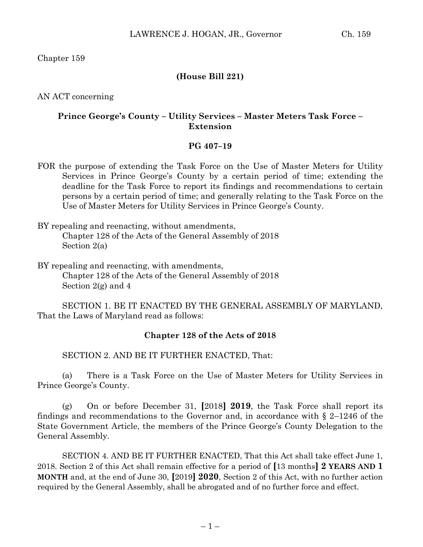Chapter 159

## **(House Bill 221)**

AN ACT concerning

## **Prince George's County – Utility Services – Master Meters Task Force – Extension**

#### **PG 407–19**

- FOR the purpose of extending the Task Force on the Use of Master Meters for Utility Services in Prince George's County by a certain period of time; extending the deadline for the Task Force to report its findings and recommendations to certain persons by a certain period of time; and generally relating to the Task Force on the Use of Master Meters for Utility Services in Prince George's County.
- BY repealing and reenacting, without amendments, Chapter 128 of the Acts of the General Assembly of 2018 Section 2(a)
- BY repealing and reenacting, with amendments, Chapter 128 of the Acts of the General Assembly of 2018 Section 2(g) and 4

SECTION 1. BE IT ENACTED BY THE GENERAL ASSEMBLY OF MARYLAND, That the Laws of Maryland read as follows:

# **Chapter 128 of the Acts of 2018**

SECTION 2. AND BE IT FURTHER ENACTED, That:

(a) There is a Task Force on the Use of Master Meters for Utility Services in Prince George's County.

(g) On or before December 31, **[**2018**] 2019**, the Task Force shall report its findings and recommendations to the Governor and, in accordance with  $\S$  2–1246 of the State Government Article, the members of the Prince George's County Delegation to the General Assembly.

SECTION 4. AND BE IT FURTHER ENACTED, That this Act shall take effect June 1, 2018. Section 2 of this Act shall remain effective for a period of **[**13 months**] 2 YEARS AND 1 MONTH** and, at the end of June 30, **[**2019**] 2020**, Section 2 of this Act, with no further action required by the General Assembly, shall be abrogated and of no further force and effect.